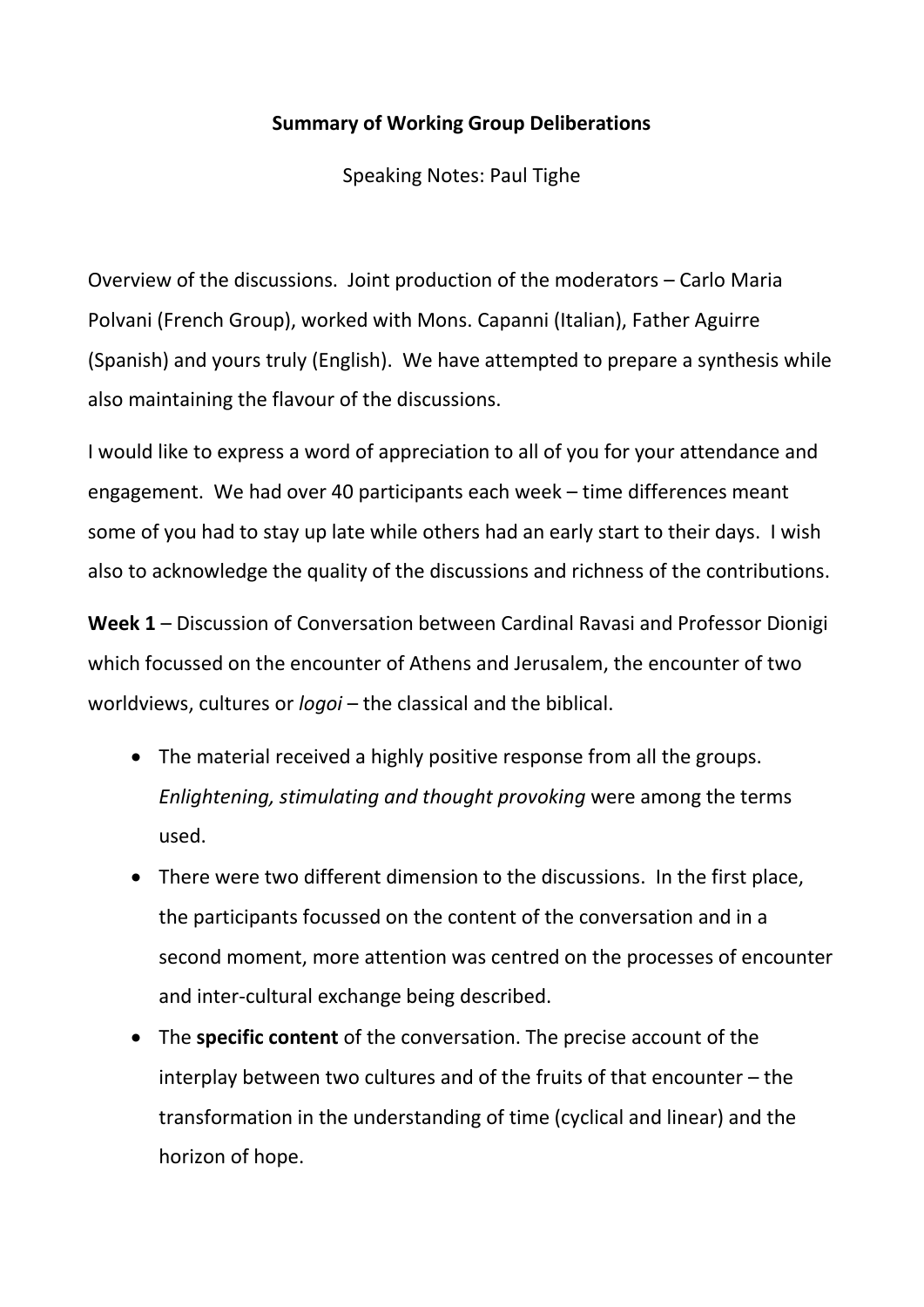### **Summary of Working Group Deliberations**

Speaking Notes: Paul Tighe

Overview of the discussions. Joint production of the moderators – Carlo Maria Polvani (French Group), worked with Mons. Capanni (Italian), Father Aguirre (Spanish) and yours truly (English). We have attempted to prepare a synthesis while also maintaining the flavour of the discussions.

I would like to express a word of appreciation to all of you for your attendance and engagement. We had over 40 participants each week – time differences meant some of you had to stay up late while others had an early start to their days. I wish also to acknowledge the quality of the discussions and richness of the contributions.

**Week 1** – Discussion of Conversation between Cardinal Ravasi and Professor Dionigi which focussed on the encounter of Athens and Jerusalem, the encounter of two worldviews, cultures or *logoi* – the classical and the biblical.

- The material received a highly positive response from all the groups. *Enlightening, stimulating and thought provoking* were among the terms used.
- There were two different dimension to the discussions. In the first place, the participants focussed on the content of the conversation and in a second moment, more attention was centred on the processes of encounter and inter-cultural exchange being described.
- The **specific content** of the conversation. The precise account of the interplay between two cultures and of the fruits of that encounter – the transformation in the understanding of time (cyclical and linear) and the horizon of hope.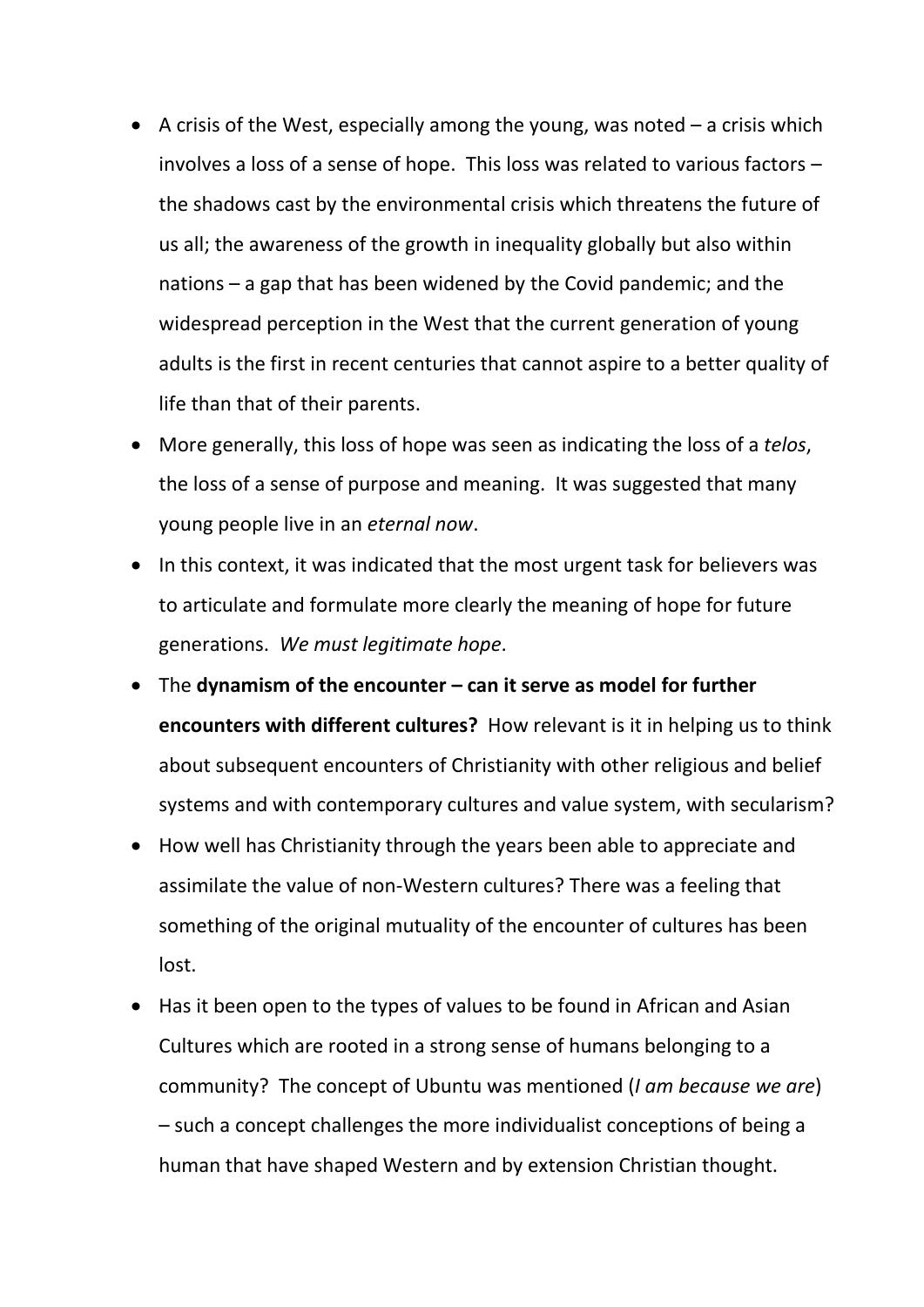- A crisis of the West, especially among the young, was noted  $-$  a crisis which involves a loss of a sense of hope. This loss was related to various factors – the shadows cast by the environmental crisis which threatens the future of us all; the awareness of the growth in inequality globally but also within nations – a gap that has been widened by the Covid pandemic; and the widespread perception in the West that the current generation of young adults is the first in recent centuries that cannot aspire to a better quality of life than that of their parents.
- More generally, this loss of hope was seen as indicating the loss of a *telos*, the loss of a sense of purpose and meaning. It was suggested that many young people live in an *eternal now*.
- In this context, it was indicated that the most urgent task for believers was to articulate and formulate more clearly the meaning of hope for future generations. *We must legitimate hope*.
- The **dynamism of the encounter – can it serve as model for further encounters with different cultures?** How relevant is it in helping us to think about subsequent encounters of Christianity with other religious and belief systems and with contemporary cultures and value system, with secularism?
- How well has Christianity through the years been able to appreciate and assimilate the value of non-Western cultures? There was a feeling that something of the original mutuality of the encounter of cultures has been lost.
- Has it been open to the types of values to be found in African and Asian Cultures which are rooted in a strong sense of humans belonging to a community? The concept of Ubuntu was mentioned (*I am because we are*) – such a concept challenges the more individualist conceptions of being a human that have shaped Western and by extension Christian thought.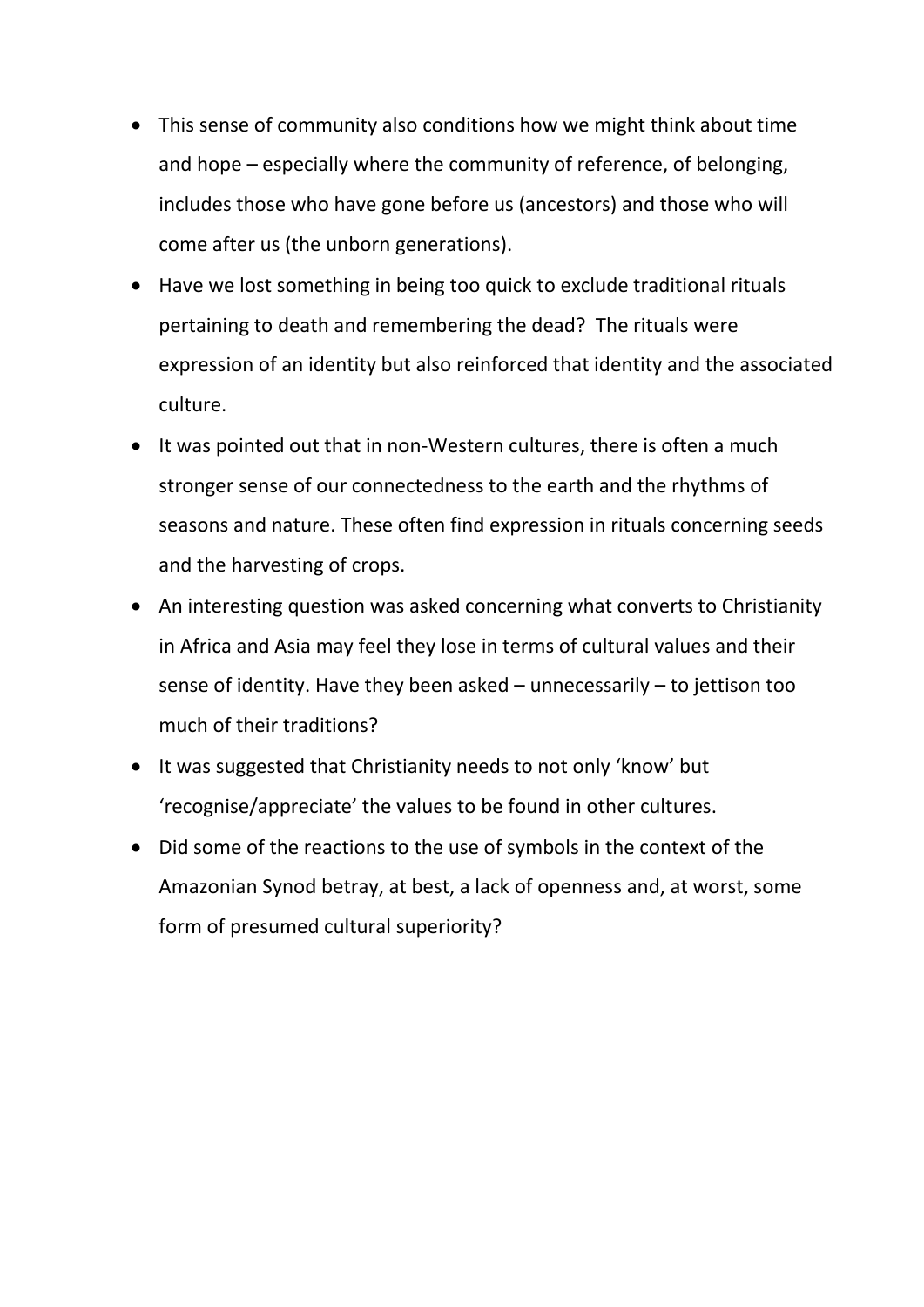- This sense of community also conditions how we might think about time and hope – especially where the community of reference, of belonging, includes those who have gone before us (ancestors) and those who will come after us (the unborn generations).
- Have we lost something in being too quick to exclude traditional rituals pertaining to death and remembering the dead? The rituals were expression of an identity but also reinforced that identity and the associated culture.
- It was pointed out that in non-Western cultures, there is often a much stronger sense of our connectedness to the earth and the rhythms of seasons and nature. These often find expression in rituals concerning seeds and the harvesting of crops.
- An interesting question was asked concerning what converts to Christianity in Africa and Asia may feel they lose in terms of cultural values and their sense of identity. Have they been asked – unnecessarily – to jettison too much of their traditions?
- It was suggested that Christianity needs to not only 'know' but 'recognise/appreciate' the values to be found in other cultures.
- Did some of the reactions to the use of symbols in the context of the Amazonian Synod betray, at best, a lack of openness and, at worst, some form of presumed cultural superiority?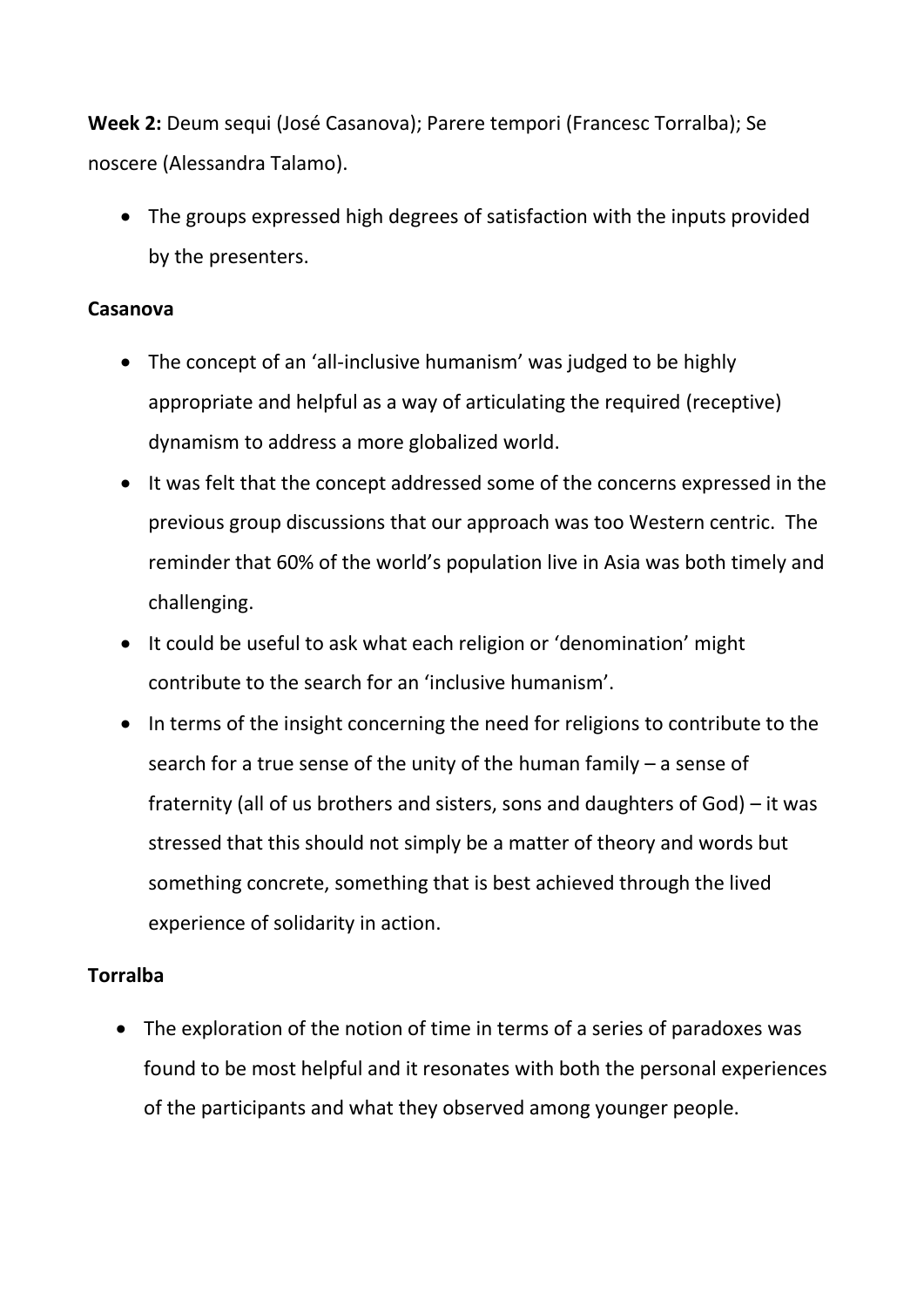**Week 2:** Deum sequi (José Casanova); Parere tempori (Francesc Torralba); Se noscere (Alessandra Talamo).

 The groups expressed high degrees of satisfaction with the inputs provided by the presenters.

### **Casanova**

- The concept of an 'all-inclusive humanism' was judged to be highly appropriate and helpful as a way of articulating the required (receptive) dynamism to address a more globalized world.
- It was felt that the concept addressed some of the concerns expressed in the previous group discussions that our approach was too Western centric. The reminder that 60% of the world's population live in Asia was both timely and challenging.
- It could be useful to ask what each religion or 'denomination' might contribute to the search for an 'inclusive humanism'.
- In terms of the insight concerning the need for religions to contribute to the search for a true sense of the unity of the human family – a sense of fraternity (all of us brothers and sisters, sons and daughters of God) – it was stressed that this should not simply be a matter of theory and words but something concrete, something that is best achieved through the lived experience of solidarity in action.

# **Torralba**

• The exploration of the notion of time in terms of a series of paradoxes was found to be most helpful and it resonates with both the personal experiences of the participants and what they observed among younger people.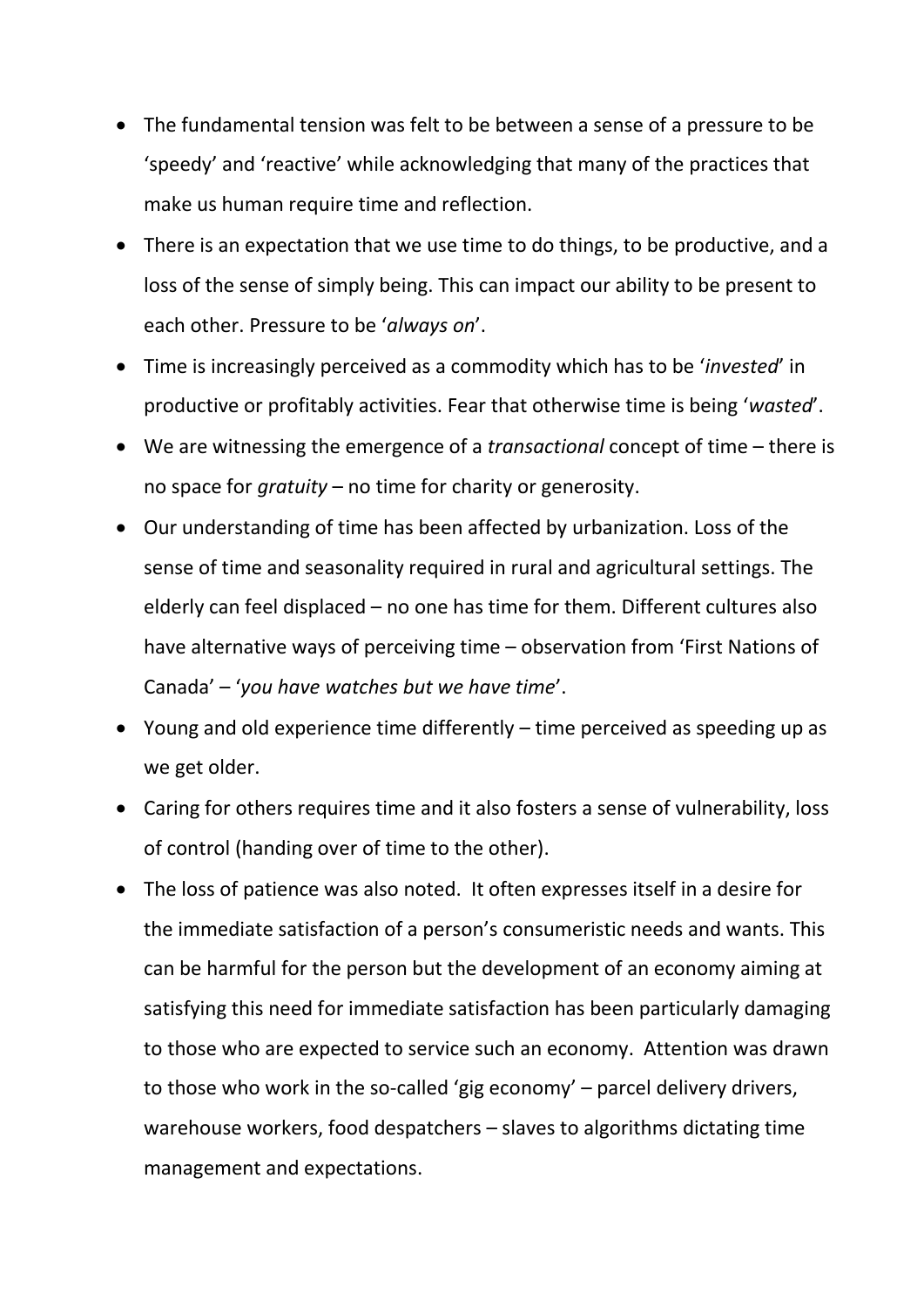- The fundamental tension was felt to be between a sense of a pressure to be 'speedy' and 'reactive' while acknowledging that many of the practices that make us human require time and reflection.
- There is an expectation that we use time to do things, to be productive, and a loss of the sense of simply being. This can impact our ability to be present to each other. Pressure to be '*always on*'.
- Time is increasingly perceived as a commodity which has to be '*invested*' in productive or profitably activities. Fear that otherwise time is being '*wasted*'.
- We are witnessing the emergence of a *transactional* concept of time there is no space for *gratuity* – no time for charity or generosity.
- Our understanding of time has been affected by urbanization. Loss of the sense of time and seasonality required in rural and agricultural settings. The elderly can feel displaced – no one has time for them. Different cultures also have alternative ways of perceiving time – observation from 'First Nations of Canada' – '*you have watches but we have time*'.
- Young and old experience time differently time perceived as speeding up as we get older.
- Caring for others requires time and it also fosters a sense of vulnerability, loss of control (handing over of time to the other).
- The loss of patience was also noted. It often expresses itself in a desire for the immediate satisfaction of a person's consumeristic needs and wants. This can be harmful for the person but the development of an economy aiming at satisfying this need for immediate satisfaction has been particularly damaging to those who are expected to service such an economy. Attention was drawn to those who work in the so-called 'gig economy' – parcel delivery drivers, warehouse workers, food despatchers – slaves to algorithms dictating time management and expectations.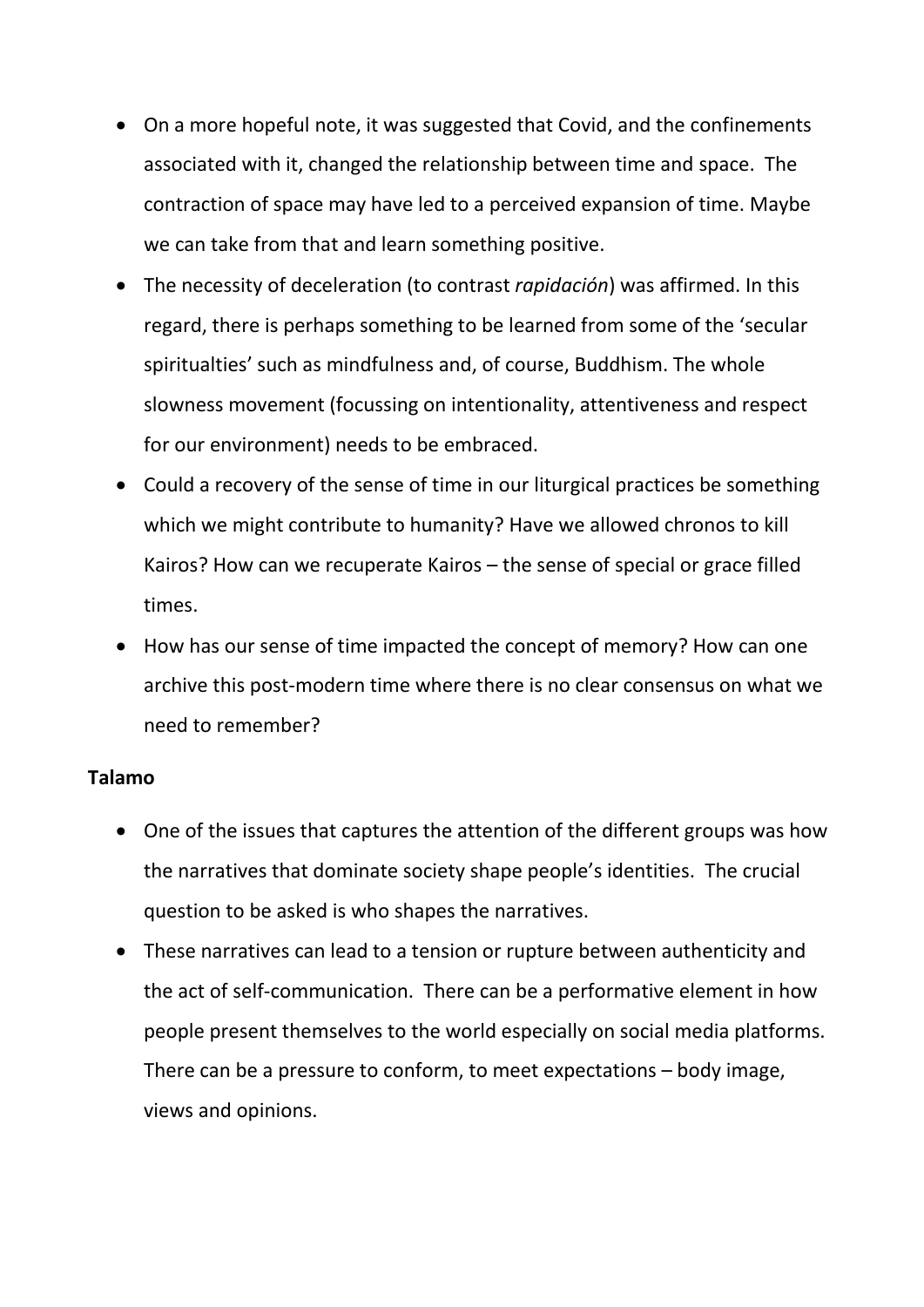- On a more hopeful note, it was suggested that Covid, and the confinements associated with it, changed the relationship between time and space. The contraction of space may have led to a perceived expansion of time. Maybe we can take from that and learn something positive.
- The necessity of deceleration (to contrast *rapidación*) was affirmed. In this regard, there is perhaps something to be learned from some of the 'secular spiritualties' such as mindfulness and, of course, Buddhism. The whole slowness movement (focussing on intentionality, attentiveness and respect for our environment) needs to be embraced.
- Could a recovery of the sense of time in our liturgical practices be something which we might contribute to humanity? Have we allowed chronos to kill Kairos? How can we recuperate Kairos – the sense of special or grace filled times.
- How has our sense of time impacted the concept of memory? How can one archive this post-modern time where there is no clear consensus on what we need to remember?

#### **Talamo**

- One of the issues that captures the attention of the different groups was how the narratives that dominate society shape people's identities. The crucial question to be asked is who shapes the narratives.
- These narratives can lead to a tension or rupture between authenticity and the act of self-communication. There can be a performative element in how people present themselves to the world especially on social media platforms. There can be a pressure to conform, to meet expectations – body image, views and opinions.